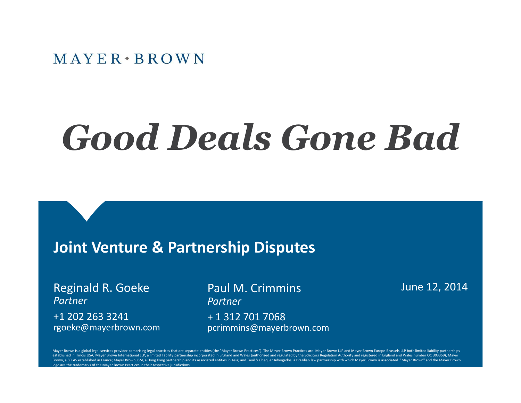# *Good Deals Gone Bad*

#### **Joint Venture & Partnership Disputes**

Reginald R. Goeke *Partner* +1 202 263 3241 rgoeke@mayerbrown.com Paul M. Crimmins **June 12, 2014** *Partner* + 1 312 701 7068 pcrimmins@mayerbrown.com

Mayer Brown is a global legal services provider comprising legal practices that are separate entities (the "Mayer Brown Practices"). The Mayer Brown Practices are: Mayer Brown LLP and Mayer Brown Europe-Brussels LLP both l established in Illinois USA: Mayer Brown International LLP, a limited liability partnership incorporated in England and Wales (authorized and regulated by the Solicitors Regulation Authority and registered in England and W Brown, a SELAS established in France; Mayer Brown JSM, a Hong Kong partnership and its associated entities in Asia; and Tauil & Chequer Advogados, a Brazilian law partnership with which Mayer Brown is associated. "Mayer Br ogo are the trademarks of the Mayer Brown Practices in their respective jurisdictions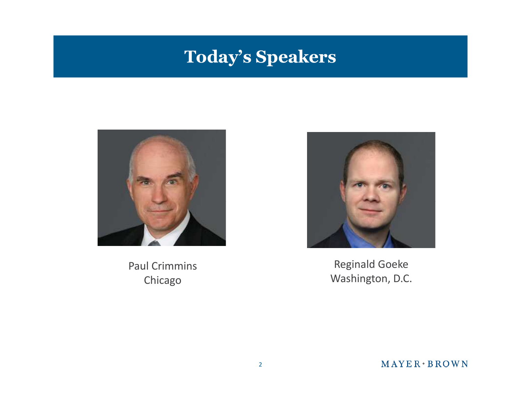#### **Today's Speakers**



Paul Crimmins Chicago



Reginald Goeke Washington, D.C.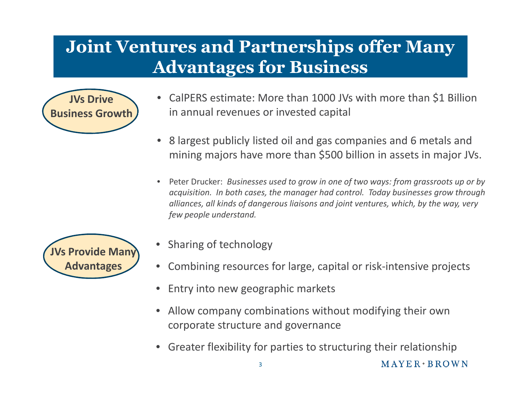# **Joint Ventures and Partnerships offer Many Advantages for Business**



- CalPERS estimate: More than 1000 JVs with more than \$1 Billion in annual revenues or invested capital
- 8 largest publicly listed oil and gas companies and 6 metals and mining majors have more than \$500 billion in assets in major JVs.
- Peter Drucker: *Businesses used to grow in one of two ways: from grassroots up or by acquisition. In both cases, the manager had control. Today businesses grow through alliances, all kinds of dangerous liaisons and joint ventures, which, by the way, very few people understand.*



- Sharing of technology
- Combining resources for large, capital or risk-intensive projects
- Entry into new geographic markets
- Allow company combinations without modifying their own corporate structure and governance
- Greater flexibility for parties to structuring their relationship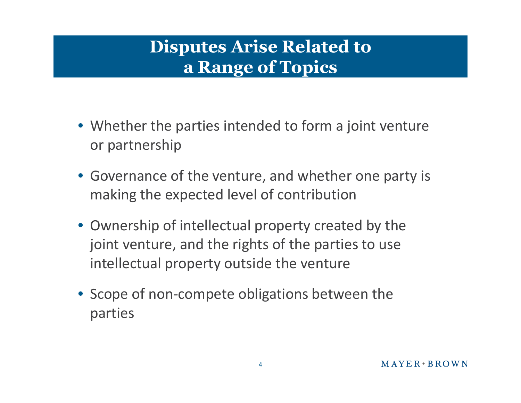# **Disputes Arise Related to a Range of Topics**

- Whether the parties intended to form a joint venture or partnership
- Governance of the venture, and whether one party is making the expected level of contribution
- Ownership of intellectual property created by the joint venture, and the rights of the parties to use intellectual property outside the venture
- Scope of non-compete obligations between the parties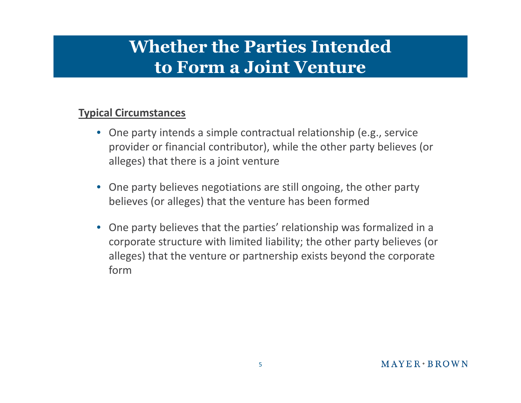#### **Whether the Parties Intended to Form a Joint Venture**

#### **Typical Circumstances**

- One party intends a simple contractual relationship (e.g., service provider or financial contributor), while the other party believes (or alleges) that there is a joint venture
- One party believes negotiations are still ongoing, the other party believes (or alleges) that the venture has been formed
- One party believes that the parties' relationship was formalized in a corporate structure with limited liability; the other party believes (or alleges) that the venture or partnership exists beyond the corporate form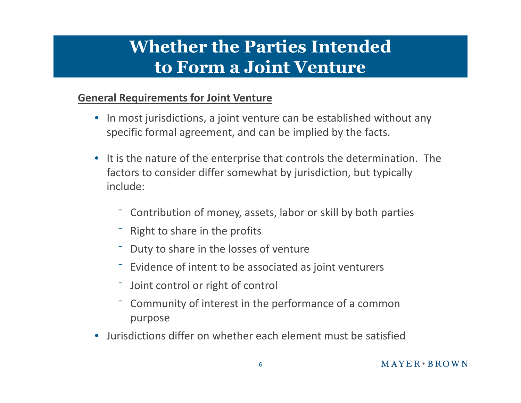### **Whether the Parties Intended to Form a Joint Venture**

#### **General Requirements for Joint Venture**

- In most jurisdictions, a joint venture can be established without any specific formal agreement, and can be implied by the facts.
- It is the nature of the enterprise that controls the determination. The factors to consider differ somewhat by jurisdiction, but typically include:
	- ⁻ Contribution of money, assets, labor or skill by both parties
	- ⁻ Right to share in the profits
	- ⁻ Duty to share in the losses of venture
	- ⁻ Evidence of intent to be associated as joint venturers
	- Joint control or right of control
	- ⁻ Community of interest in the performance of a common purpose
- Jurisdictions differ on whether each element must be satisfied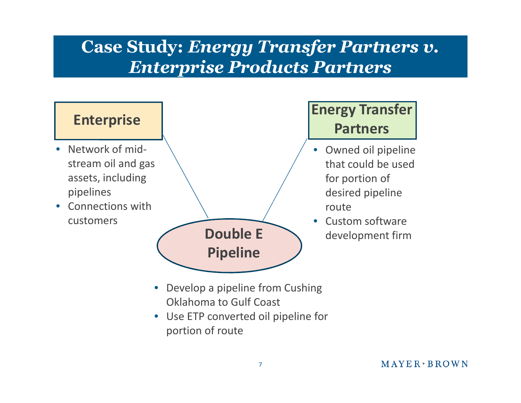#### **Case Study:** *Energy Transfer Partners v. Enterprise Products Partners*

#### **Enterprise**

- Network of midstream oil and gas assets, including pipelines
- Connections with



#### **Energy Transfer Partners**

- Owned oil pipeline that could be used for portion of desired pipeline
- **Double E** development firm

- Develop a pipeline from Cushing Oklahoma to Gulf Coast
- Use ETP converted oil pipeline for portion of route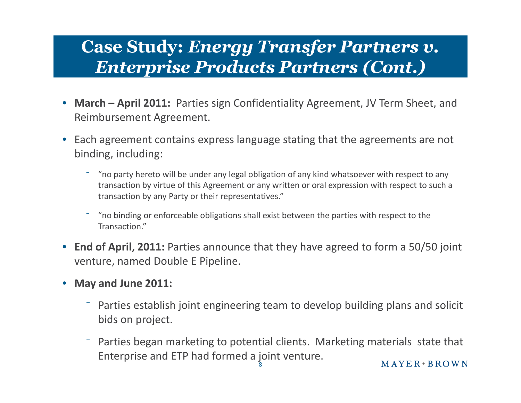#### **Case Study:** *Energy Transfer Partners v. Enterprise Products Partners (Cont.)*

- **March April 2011:** Parties sign Confidentiality Agreement, JV Term Sheet, and Reimbursement Agreement.
- Each agreement contains express language stating that the agreements are not binding, including:
	- ⁻ "no party hereto will be under any legal obligation of any kind whatsoever with respect to any transaction by virtue of this Agreement or any written or oral expression with respect to such a transaction by any Party or their representatives."
	- ⁻ "no binding or enforceable obligations shall exist between the parties with respect to the Transaction."
- **End of April, 2011:** Parties announce that they have agreed to form a 50/50 joint venture, named Double E Pipeline.
- **May and June 2011:**
	- ⁻ Parties establish joint engineering team to develop building plans and solicit bids on project.
	- ⁻ Parties began marketing to potential clients. Marketing materials state that Enterprise and ETP had formed a joint venture.  $MAYER*BROWN$ 8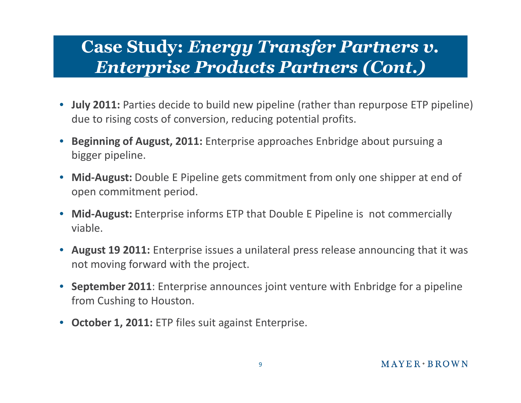#### **Case Study:** *Energy Transfer Partners v. Enterprise Products Partners (Cont.)*

- **July 2011:** Parties decide to build new pipeline (rather than repurpose ETP pipeline) due to rising costs of conversion, reducing potential profits.
- **Beginning of August, 2011:** Enterprise approaches Enbridge about pursuing a bigger pipeline.
- **Mid-August:** Double E Pipeline gets commitment from only one shipper at end of open commitment period.
- **Mid-August:** Enterprise informs ETP that Double E Pipeline is not commercially viable.
- **August 19 2011:** Enterprise issues a unilateral press release announcing that it was not moving forward with the project.
- **September 2011**: Enterprise announces joint venture with Enbridge for a pipeline from Cushing to Houston.
- **October 1, 2011:** ETP files suit against Enterprise.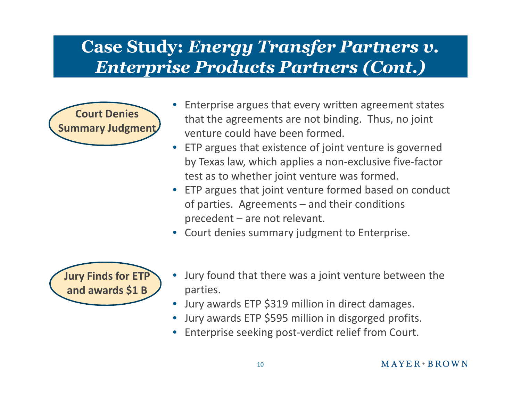#### **Case Study:** *Energy Transfer Partners v. Enterprise Products Partners (Cont.)*



- Enterprise argues that every written agreement states that the agreements are not binding. Thus, no joint venture could have been formed.
- ETP argues that existence of joint venture is governed by Texas law, which applies a non-exclusive five-factor test as to whether joint venture was formed.
- ETP argues that joint venture formed based on conduct of parties. Agreements – and their conditions precedent – are not relevant.
- Court denies summary judgment to Enterprise.



- Jury found that there was a joint venture between the parties.
- Jury awards ETP \$319 million in direct damages.
- Jury awards ETP \$595 million in disgorged profits.
- Enterprise seeking post-verdict relief from Court.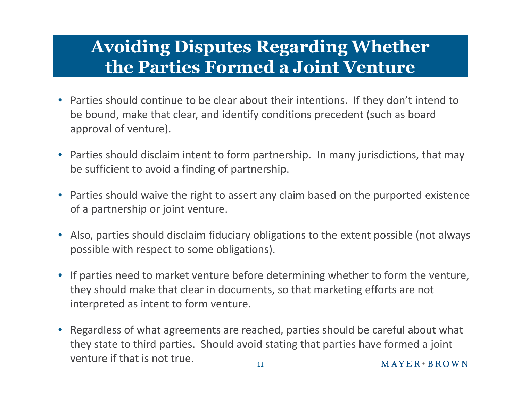#### **Avoiding Disputes Regarding Whether the Parties Formed a Joint Venture**

- Parties should continue to be clear about their intentions. If they don't intend to be bound, make that clear, and identify conditions precedent (such as board approval of venture).
- Parties should disclaim intent to form partnership. In many jurisdictions, that may be sufficient to avoid a finding of partnership.
- Parties should waive the right to assert any claim based on the purported existence of a partnership or joint venture.
- Also, parties should disclaim fiduciary obligations to the extent possible (not always possible with respect to some obligations).
- If parties need to market venture before determining whether to form the venture, they should make that clear in documents, so that marketing efforts are not interpreted as intent to form venture.
- Regardless of what agreements are reached, parties should be careful about what they state to third parties. Should avoid stating that parties have formed a joint venture if that is not true.  $M$  A Y E R  $\cdot$  B R O W N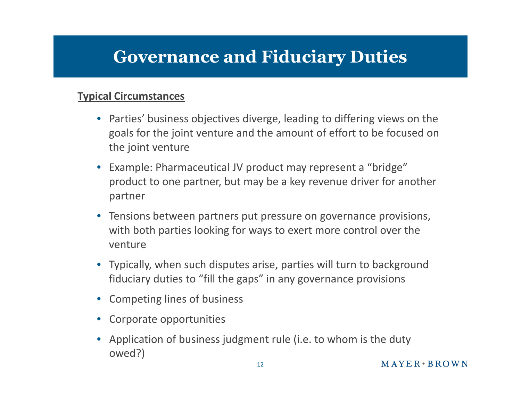# **Governance and Fiduciary Duties**

#### **Typical Circumstances**

- Parties' business objectives diverge, leading to differing views on the goals for the joint venture and the amount of effort to be focused on the joint venture
- Example: Pharmaceutical JV product may represent a "bridge" product to one partner, but may be a key revenue driver for another partner
- Tensions between partners put pressure on governance provisions, with both parties looking for ways to exert more control over the venture
- Typically, when such disputes arise, parties will turn to background fiduciary duties to "fill the gaps" in any governance provisions
- Competing lines of business
- Corporate opportunities
- Application of business judgment rule (i.e. to whom is the duty owed?)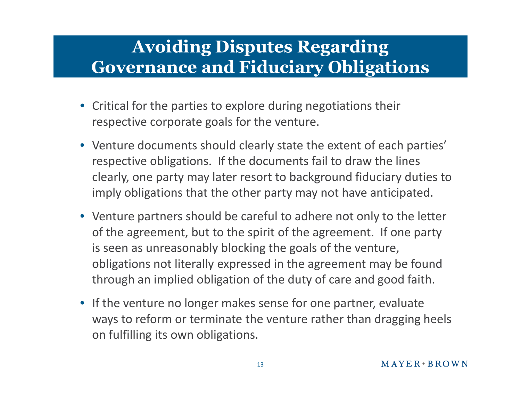# **Avoiding Disputes Regarding Governance and Fiduciary Obligations**

- Critical for the parties to explore during negotiations their respective corporate goals for the venture.
- Venture documents should clearly state the extent of each parties' respective obligations. If the documents fail to draw the lines clearly, one party may later resort to background fiduciary duties to imply obligations that the other party may not have anticipated.
- Venture partners should be careful to adhere not only to the letter of the agreement, but to the spirit of the agreement. If one party is seen as unreasonably blocking the goals of the venture, obligations not literally expressed in the agreement may be found through an implied obligation of the duty of care and good faith.
- If the venture no longer makes sense for one partner, evaluate ways to reform or terminate the venture rather than dragging heels on fulfilling its own obligations.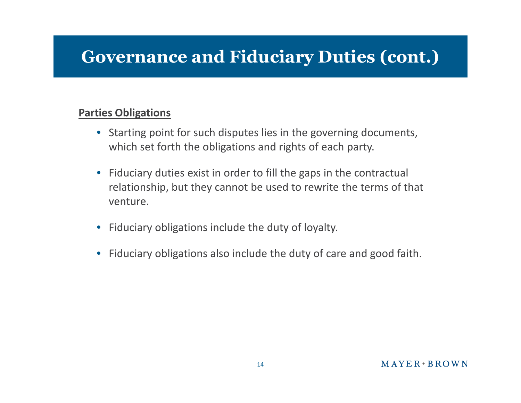# **Governance and Fiduciary Duties (cont.)**

#### **Parties Obligations**

- Starting point for such disputes lies in the governing documents, which set forth the obligations and rights of each party.
- Fiduciary duties exist in order to fill the gaps in the contractual relationship, but they cannot be used to rewrite the terms of that venture.
- Fiduciary obligations include the duty of loyalty.
- Fiduciary obligations also include the duty of care and good faith.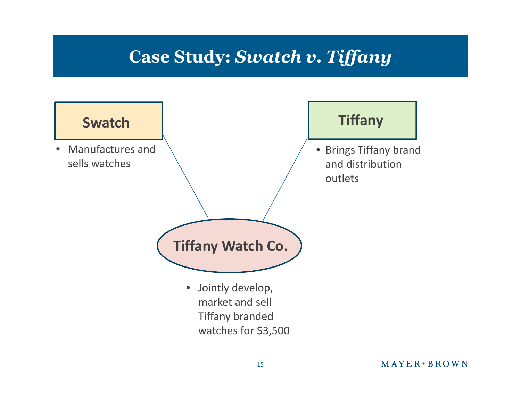#### **Case Study:** *Swatch v. Tiffany*

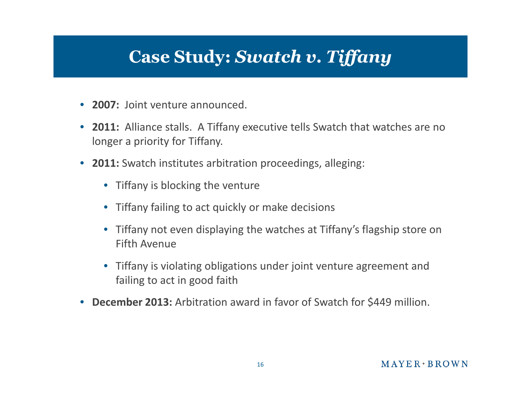#### **Case Study:** *Swatch v. Tiffany*

- **2007:** Joint venture announced.
- **2011:** Alliance stalls. A Tiffany executive tells Swatch that watches are no longer a priority for Tiffany.
- **2011:** Swatch institutes arbitration proceedings, alleging:
	- Tiffany is blocking the venture
	- Tiffany failing to act quickly or make decisions
	- Tiffany not even displaying the watches at Tiffany's flagship store on Fifth Avenue
	- Tiffany is violating obligations under joint venture agreement and failing to act in good faith
- **December 2013:** Arbitration award in favor of Swatch for \$449 million.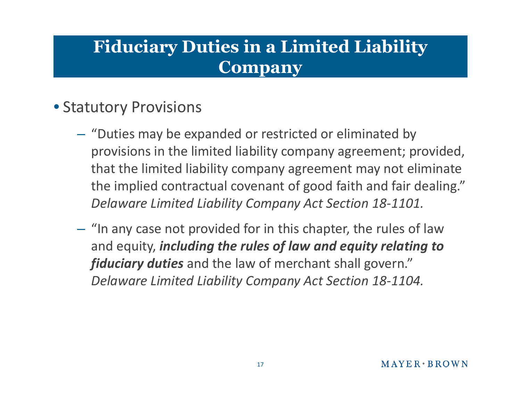#### **Fiduciary Duties in a Limited Liability Company**

#### • Statutory Provisions

- "Duties may be expanded or restricted or eliminated by provisions in the limited liability company agreement; provided, that the limited liability company agreement may not eliminate the implied contractual covenant of good faith and fair dealing." *Delaware Limited Liability Company Act Section 18-1101.*
- "In any case not provided for in this chapter, the rules of law and equity, *including the rules of law and equity relating to fiduciary duties* and the law of merchant shall govern." *Delaware Limited Liability Company Act Section 18-1104.*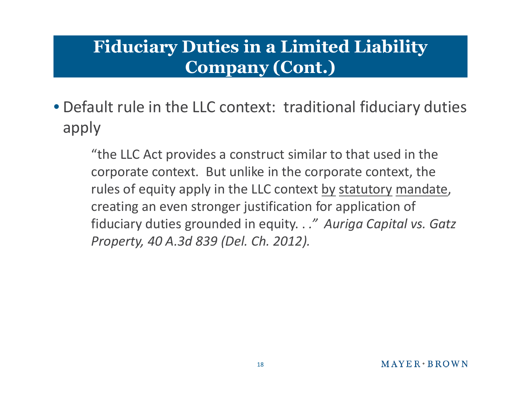# **Fiduciary Duties in a Limited Liability Company (Cont.)**

• Default rule in the LLC context: traditional fiduciary duties apply

"the LLC Act provides a construct similar to that used in the corporate context. But unlike in the corporate context, the rules of equity apply in the LLC context by statutory mandate, creating an even stronger justification for application of fiduciary duties grounded in equity. . *." Auriga Capital vs. Gatz Property, 40 A.3d 839 (Del. Ch. 2012).*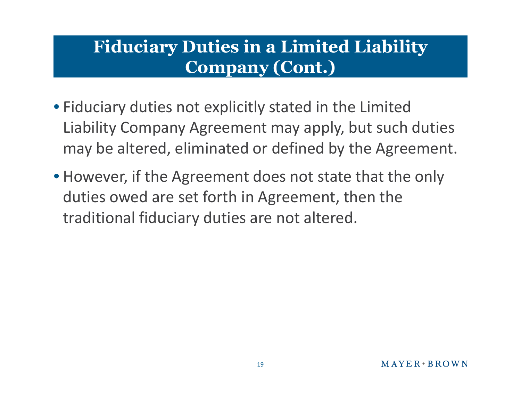# **Fiduciary Duties in a Limited Liability Company (Cont.)**

- Fiduciary duties not explicitly stated in the Limited Liability Company Agreement may apply, but such duties may be altered, eliminated or defined by the Agreement.
- However, if the Agreement does not state that the only duties owed are set forth in Agreement, then the traditional fiduciary duties are not altered.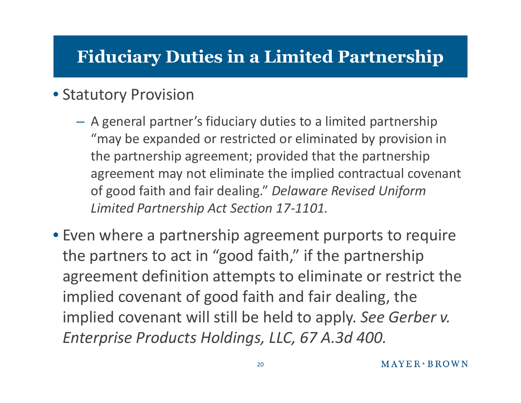# **Fiduciary Duties in a Limited Partnership**

#### • Statutory Provision

- A general partner's fiduciary duties to a limited partnership "may be expanded or restricted or eliminated by provision in the partnership agreement; provided that the partnership agreement may not eliminate the implied contractual covenant of good faith and fair dealing." *Delaware Revised Uniform Limited Partnership Act Section 17-1101.*
- Even where a partnership agreement purports to require the partners to act in "good faith," if the partnership agreement definition attempts to eliminate or restrict the implied covenant of good faith and fair dealing, the implied covenant will still be held to apply. *See Gerber v. Enterprise Products Holdings, LLC, 67 A.3d 400.*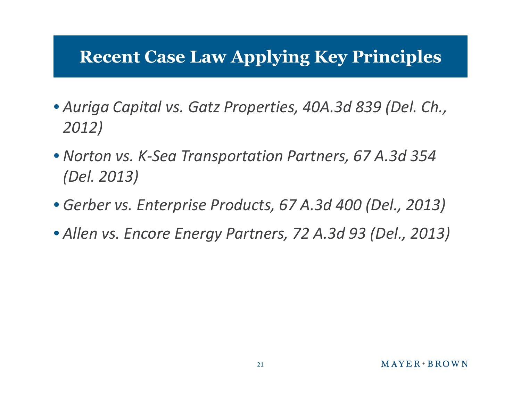# **Recent Case Law Applying Key Principles**

- *Auriga Capital vs. Gatz Properties, 40A.3d 839 (Del. Ch., 2012)*
- *Norton vs. K-Sea Transportation Partners, 67 A.3d 354 (Del. 2013)*
- *Gerber vs. Enterprise Products, 67 A.3d 400 (Del., 2013)*
- *Allen vs. Encore Energy Partners, 72 A.3d 93 (Del., 2013)*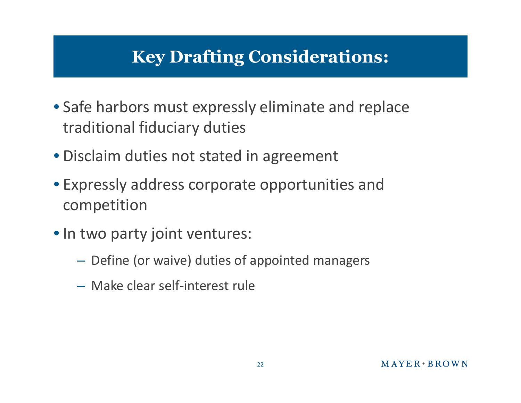# **Key Drafting Considerations:**

- Safe harbors must expressly eliminate and replace traditional fiduciary duties
- Disclaim duties not stated in agreement
- Expressly address corporate opportunities and competition
- In two party joint ventures:
	- Define (or waive) duties of appointed managers
	- Make clear self-interest rule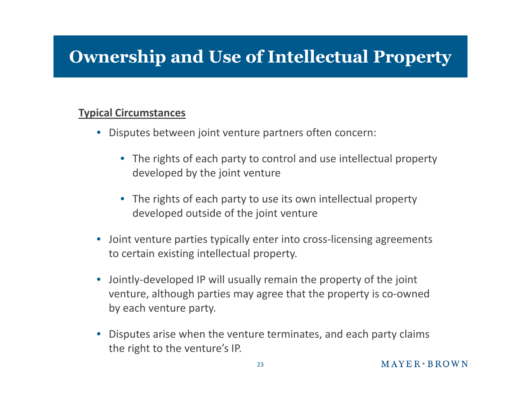# **Ownership and Use of Intellectual Property**

#### **Typical Circumstances**

- Disputes between joint venture partners often concern:
	- The rights of each party to control and use intellectual property developed by the joint venture
	- The rights of each party to use its own intellectual property developed outside of the joint venture
- Joint venture parties typically enter into cross-licensing agreements to certain existing intellectual property.
- Jointly-developed IP will usually remain the property of the joint venture, although parties may agree that the property is co-owned by each venture party.
- Disputes arise when the venture terminates, and each party claims the right to the venture's IP.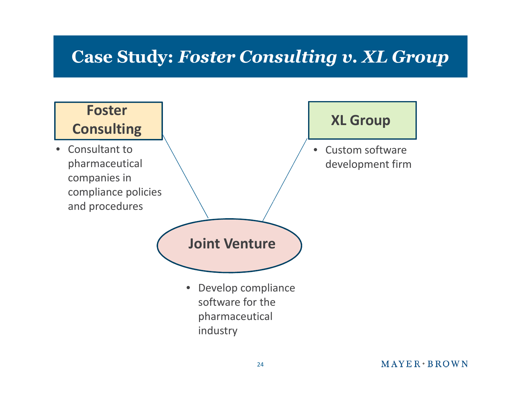### **Case Study:** *Foster Consulting v. XL Group*

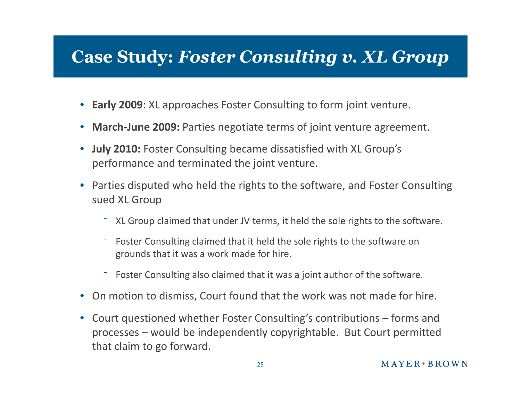#### **Case Study:** *Foster Consulting v. XL Group*

- **Early 2009**: XL approaches Foster Consulting to form joint venture.
- **March-June 2009:** Parties negotiate terms of joint venture agreement.
- **July 2010:** Foster Consulting became dissatisfied with XL Group's performance and terminated the joint venture.
- Parties disputed who held the rights to the software, and Foster Consulting sued XL Group
	- ⁻ XL Group claimed that under JV terms, it held the sole rights to the software.
	- Foster Consulting claimed that it held the sole rights to the software on grounds that it was a work made for hire.
	- ⁻ Foster Consulting also claimed that it was a joint author of the software.
- On motion to dismiss, Court found that the work was not made for hire.
- Court questioned whether Foster Consulting's contributions forms and processes – would be independently copyrightable. But Court permitted that claim to go forward.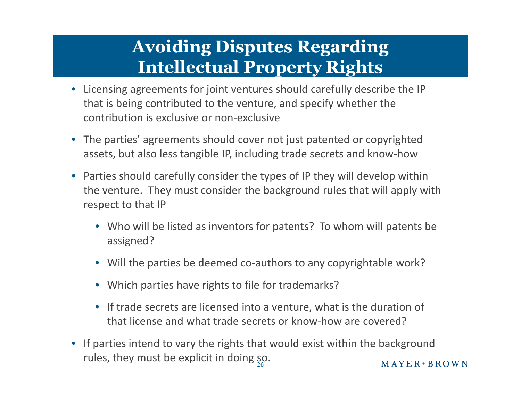# **Avoiding Disputes Regarding Intellectual Property Rights**

- Licensing agreements for joint ventures should carefully describe the IP that is being contributed to the venture, and specify whether the contribution is exclusive or non-exclusive
- The parties' agreements should cover not just patented or copyrighted assets, but also less tangible IP, including trade secrets and know-how
- Parties should carefully consider the types of IP they will develop within the venture. They must consider the background rules that will apply with respect to that IP
	- Who will be listed as inventors for patents? To whom will patents be assigned?
	- Will the parties be deemed co-authors to any copyrightable work?
	- Which parties have rights to file for trademarks?
	- If trade secrets are licensed into a venture, what is the duration of that license and what trade secrets or know-how are covered?
- If parties intend to vary the rights that would exist within the background rules, they must be explicit in doing  $\frac{50}{26}$ .  $MAYER*BROWN$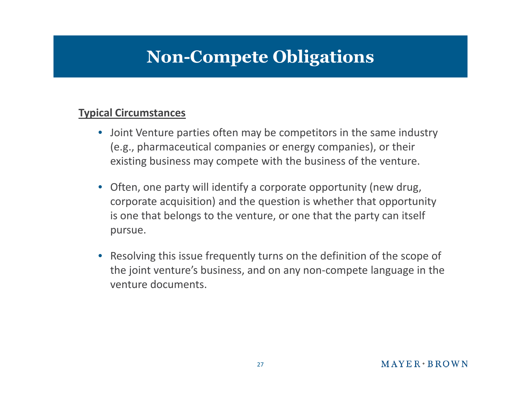#### **Non-Compete Obligations**

#### **Typical Circumstances**

- Joint Venture parties often may be competitors in the same industry (e.g., pharmaceutical companies or energy companies), or their existing business may compete with the business of the venture.
- Often, one party will identify a corporate opportunity (new drug, corporate acquisition) and the question is whether that opportunity is one that belongs to the venture, or one that the party can itself pursue.
- Resolving this issue frequently turns on the definition of the scope of the joint venture's business, and on any non-compete language in the venture documents.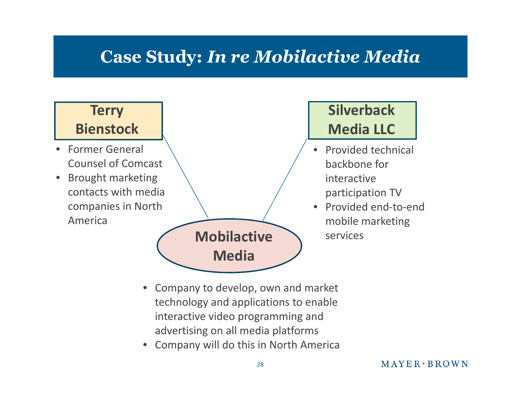# **Case Study:** *In re Mobilactive Media*

#### **Terry**

#### **Bienstock**

- Former General Counsel of Comcast
- Brought marketing contacts with media companies in North America



#### **Silverback Media LLC**

- Provided technical backbone for interactive participation TV
- Provided end-to-end mobile marketing

- Company to develop, own and market technology and applications to enable interactive video programming and advertising on all media platforms
- Company will do this in North America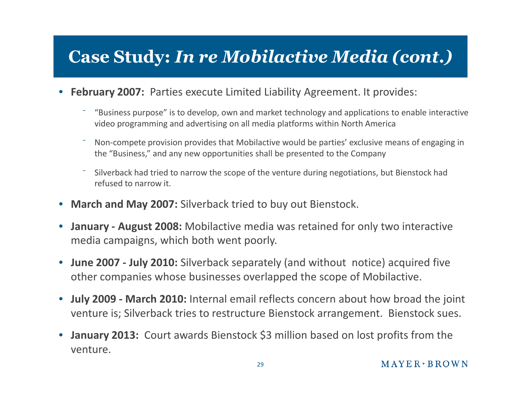# **Case Study:** *In re Mobilactive Media (cont.)*

- **February 2007:** Parties execute Limited Liability Agreement. It provides:
	- ⁻ "Business purpose" is to develop, own and market technology and applications to enable interactive video programming and advertising on all media platforms within North America
	- Non-compete provision provides that Mobilactive would be parties' exclusive means of engaging in the "Business," and any new opportunities shall be presented to the Company
	- ⁻ Silverback had tried to narrow the scope of the venture during negotiations, but Bienstock had refused to narrow it.
- **March and May 2007:** Silverback tried to buy out Bienstock.
- **January August 2008:** Mobilactive media was retained for only two interactive media campaigns, which both went poorly.
- **June 2007 July 2010:** Silverback separately (and without notice) acquired five other companies whose businesses overlapped the scope of Mobilactive.
- **July 2009 March 2010:** Internal email reflects concern about how broad the joint venture is; Silverback tries to restructure Bienstock arrangement. Bienstock sues.
- **January 2013:** Court awards Bienstock \$3 million based on lost profits from the venture.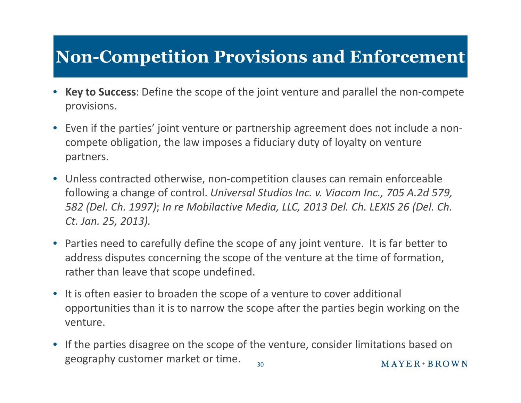# **Non-Competition Provisions and Enforcement**

- **Key to Success**: Define the scope of the joint venture and parallel the non-compete provisions.
- Even if the parties' joint venture or partnership agreement does not include a noncompete obligation, the law imposes a fiduciary duty of loyalty on venture partners.
- Unless contracted otherwise, non-competition clauses can remain enforceable following a change of control. *Universal Studios Inc. v. Viacom Inc., 705 A.2d 579, 582 (Del. Ch. 1997)*; *In re Mobilactive Media, LLC, 2013 Del. Ch. LEXIS 26 (Del. Ch. Ct. Jan. 25, 2013).*
- Parties need to carefully define the scope of any joint venture. It is far better to address disputes concerning the scope of the venture at the time of formation, rather than leave that scope undefined.
- It is often easier to broaden the scope of a venture to cover additional opportunities than it is to narrow the scope after the parties begin working on the venture.
- If the parties disagree on the scope of the venture, consider limitations based on geography customer market or time.  $M$  A Y E R  $\cdot$  B R O W N 30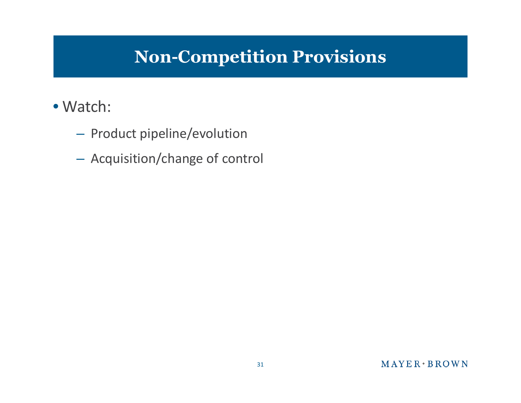# **Non-Competition Provisions**

#### • Watch:

- Product pipeline/evolution
- Acquisition/change of control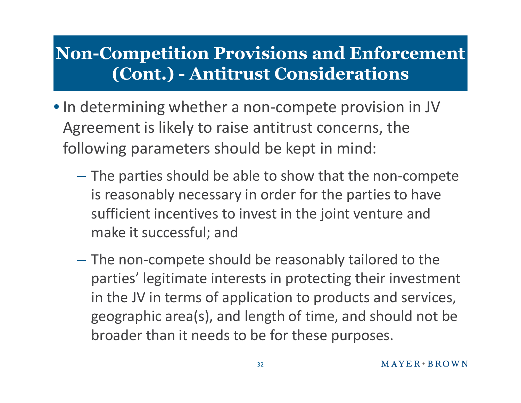# **Non-Competition Provisions and Enforcement (Cont.) - Antitrust Considerations**

- In determining whether a non-compete provision in JV Agreement is likely to raise antitrust concerns, the following parameters should be kept in mind:
	- The parties should be able to show that the non-compete is reasonably necessary in order for the parties to have sufficient incentives to invest in the joint venture and make it successful; and
	- The non-compete should be reasonably tailored to the parties' legitimate interests in protecting their investment in the JV in terms of application to products and services, geographic area(s), and length of time, and should not be broader than it needs to be for these purposes.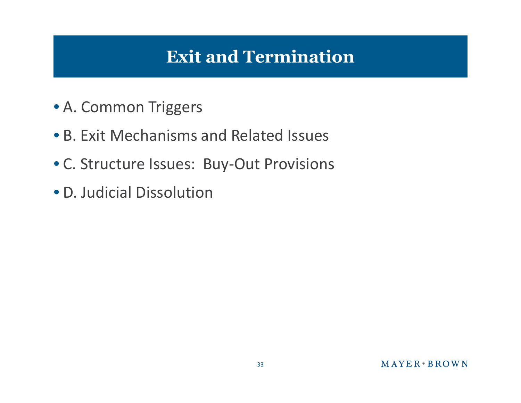### **Exit and Termination**

- A. Common Triggers
- B. Exit Mechanisms and Related Issues
- C. Structure Issues: Buy-Out Provisions
- D. Judicial Dissolution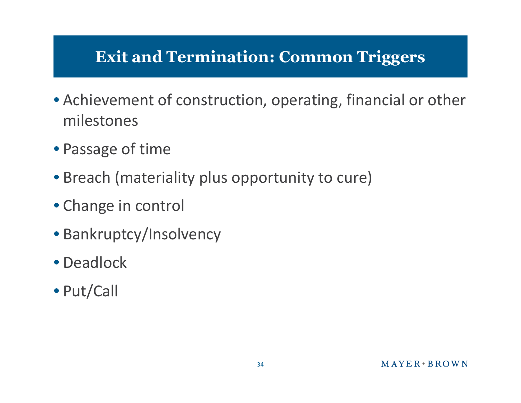#### **Exit and Termination: Common Triggers**

- Achievement of construction, operating, financial or other milestones
- Passage of time
- Breach (materiality plus opportunity to cure)
- Change in control
- Bankruptcy/Insolvency
- Deadlock
- Put/Call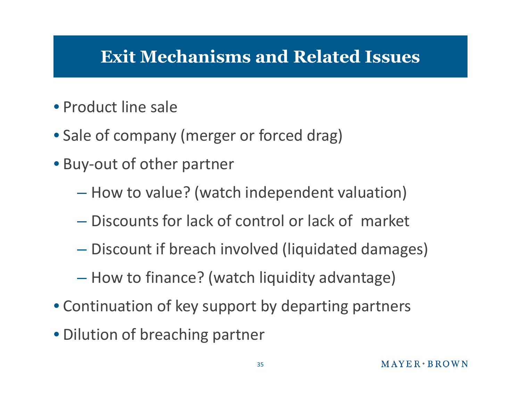#### **Exit Mechanisms and Related Issues**

- Product line sale
- Sale of company (merger or forced drag)
- Buy-out of other partner
	- How to value? (watch independent valuation)
	- Discounts for lack of control or lack of market
	- Discount if breach involved (liquidated damages)
	- How to finance? (watch liquidity advantage)
- Continuation of key support by departing partners
- Dilution of breaching partner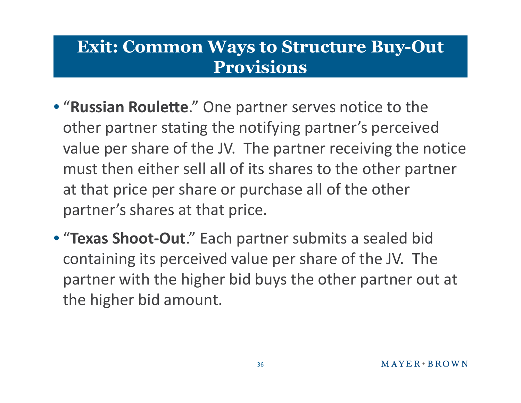#### **Exit: Common Ways to Structure Buy-Out Provisions**

- "**Russian Roulette**." One partner serves notice to the other partner stating the notifying partner's perceived value per share of the JV. The partner receiving the notice must then either sell all of its shares to the other partner at that price per share or purchase all of the other partner's shares at that price.
- "**Texas Shoot-Out**." Each partner submits a sealed bid containing its perceived value per share of the JV. The partner with the higher bid buys the other partner out at the higher bid amount.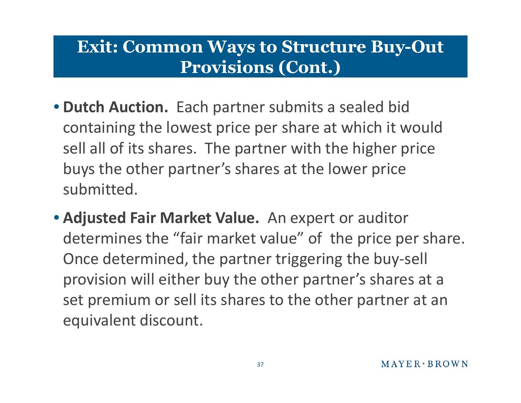#### **Exit: Common Ways to Structure Buy-Out Provisions (Cont.)**

- **Dutch Auction.** Each partner submits a sealed bid containing the lowest price per share at which it would sell all of its shares. The partner with the higher price buys the other partner's shares at the lower price submitted.
- **Adjusted Fair Market Value.** An expert or auditor determines the "fair market value" of the price per share. Once determined, the partner triggering the buy-sell provision will either buy the other partner's shares at a set premium or sell its shares to the other partner at an equivalent discount.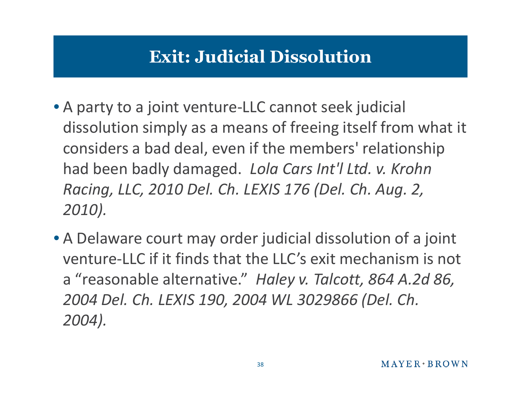# **Exit: Judicial Dissolution**

- A party to a joint venture-LLC cannot seek judicial dissolution simply as a means of freeing itself from what it considers a bad deal, even if the members' relationship had been badly damaged. *Lola Cars Int'l Ltd. v. Krohn Racing, LLC, 2010 Del. Ch. LEXIS 176 (Del. Ch. Aug. 2, 2010).*
- A Delaware court may order judicial dissolution of a joint venture-LLC if it finds that the LLC's exit mechanism is not a "reasonable alternative." *Haley v. Talcott, 864 A.2d 86, 2004 Del. Ch. LEXIS 190, 2004 WL 3029866 (Del. Ch. 2004).*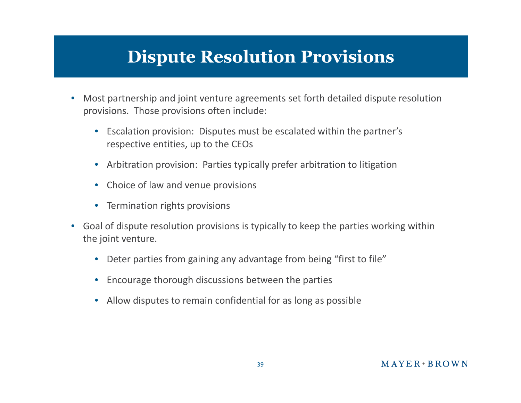# **Dispute Resolution Provisions**

- Most partnership and joint venture agreements set forth detailed dispute resolution provisions. Those provisions often include:
	- Escalation provision: Disputes must be escalated within the partner's respective entities, up to the CEOs
	- Arbitration provision: Parties typically prefer arbitration to litigation
	- Choice of law and venue provisions
	- Termination rights provisions
- Goal of dispute resolution provisions is typically to keep the parties working within the joint venture.
	- Deter parties from gaining any advantage from being "first to file"
	- Encourage thorough discussions between the parties
	- Allow disputes to remain confidential for as long as possible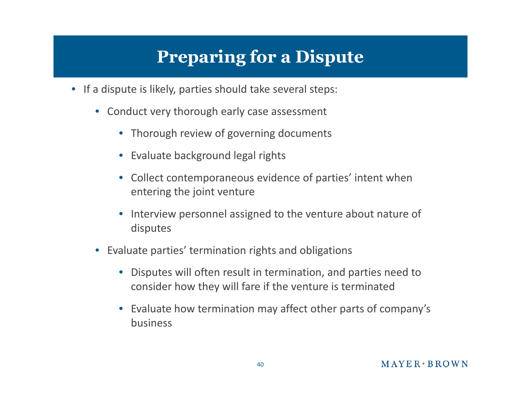# **Preparing for a Dispute**

- If a dispute is likely, parties should take several steps:
	- Conduct very thorough early case assessment
		- Thorough review of governing documents
		- Evaluate background legal rights
		- Collect contemporaneous evidence of parties' intent when entering the joint venture
		- Interview personnel assigned to the venture about nature of disputes
	- Evaluate parties' termination rights and obligations
		- Disputes will often result in termination, and parties need to consider how they will fare if the venture is terminated
		- Evaluate how termination may affect other parts of company's business